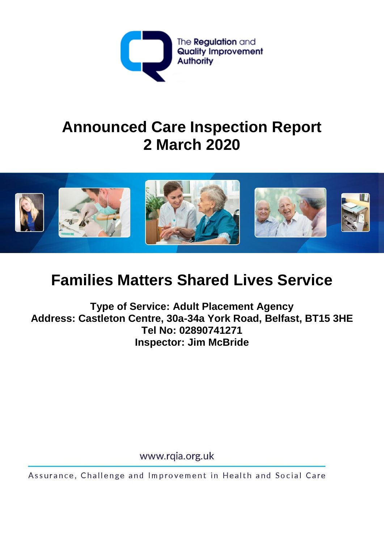

# **Announced Care Inspection Report 2 March 2020**



# **Families Matters Shared Lives Service**

**Type of Service: Adult Placement Agency Address: Castleton Centre, 30a-34a York Road, Belfast, BT15 3HE Tel No: 02890741271 Inspector: Jim McBride**

www.rqia.org.uk

Assurance, Challenge and Improvement in Health and Social Care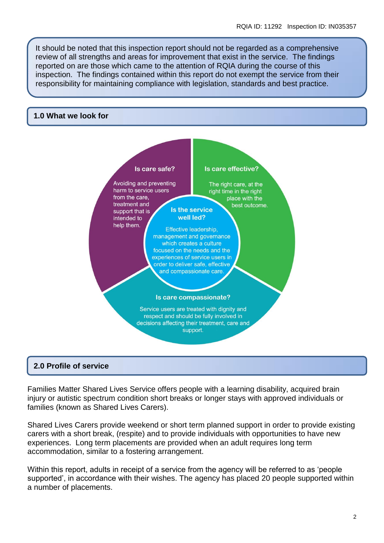It should be noted that this inspection report should not be regarded as a comprehensive review of all strengths and areas for improvement that exist in the service. The findings reported on are those which came to the attention of RQIA during the course of this inspection. The findings contained within this report do not exempt the service from their responsibility for maintaining compliance with legislation, standards and best practice.

#### **1.0 What we look for**



## **2.0 Profile of service**

Families Matter Shared Lives Service offers people with a learning disability, acquired brain injury or autistic spectrum condition short breaks or longer stays with approved individuals or families (known as Shared Lives Carers).

Shared Lives Carers provide weekend or short term planned support in order to provide existing carers with a short break, (respite) and to provide individuals with opportunities to have new experiences. Long term placements are provided when an adult requires long term accommodation, similar to a fostering arrangement.

Within this report, adults in receipt of a service from the agency will be referred to as 'people supported', in accordance with their wishes. The agency has placed 20 people supported within a number of placements.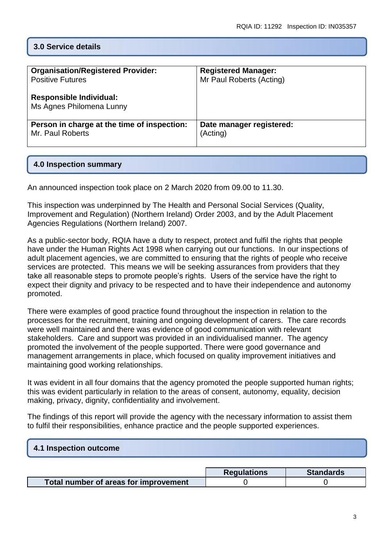# **3.0 Service details**

| <b>Organisation/Registered Provider:</b>                   | <b>Registered Manager:</b> |  |  |
|------------------------------------------------------------|----------------------------|--|--|
| <b>Positive Futures</b>                                    | Mr Paul Roberts (Acting)   |  |  |
| <b>Responsible Individual:</b><br>Ms Agnes Philomena Lunny |                            |  |  |
| Person in charge at the time of inspection:                | Date manager registered:   |  |  |
| Mr. Paul Roberts                                           | (Acting)                   |  |  |

## **4.0 Inspection summary**

An announced inspection took place on 2 March 2020 from 09.00 to 11.30.

This inspection was underpinned by [The Health and Personal Social Services \(Quality,](http://www.legislation.gov.uk/nisi/2003/431/contents/made)  [Improvement and Regulation\) \(Northern Ireland\) Order 2003,](http://www.legislation.gov.uk/nisi/2003/431/contents/made) and by the Adult Placement Agencies Regulations (Northern Ireland) 2007.

As a public-sector body, RQIA have a duty to respect, protect and fulfil the rights that people have under the Human Rights Act 1998 when carrying out our functions. In our inspections of adult placement agencies, we are committed to ensuring that the rights of people who receive services are protected. This means we will be seeking assurances from providers that they take all reasonable steps to promote people's rights. Users of the service have the right to expect their dignity and privacy to be respected and to have their independence and autonomy promoted.

There were examples of good practice found throughout the inspection in relation to the processes for the recruitment, training and ongoing development of carers. The care records were well maintained and there was evidence of good communication with relevant stakeholders. Care and support was provided in an individualised manner. The agency promoted the involvement of the people supported. There were good governance and management arrangements in place, which focused on quality improvement initiatives and maintaining good working relationships.

It was evident in all four domains that the agency promoted the people supported human rights; this was evident particularly in relation to the areas of consent, autonomy, equality, decision making, privacy, dignity, confidentiality and involvement.

The findings of this report will provide the agency with the necessary information to assist them to fulfil their responsibilities, enhance practice and the people supported experiences.

## **4.1 Inspection outcome**

|                                       | <b>Regulations</b> | <b>Standards</b> |
|---------------------------------------|--------------------|------------------|
| Total number of areas for improvement |                    |                  |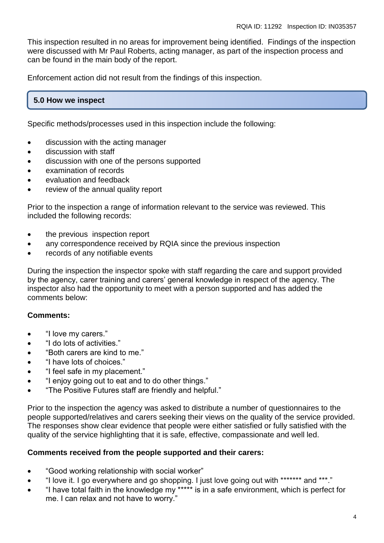This inspection resulted in no areas for improvement being identified. Findings of the inspection were discussed with Mr Paul Roberts, acting manager, as part of the inspection process and can be found in the main body of the report.

Enforcement action did not result from the findings of this inspection.

# **5.0 How we inspect**

Specific methods/processes used in this inspection include the following:

- discussion with the acting manager
- **•** discussion with staff
- discussion with one of the persons supported
- examination of records
- evaluation and feedback
- review of the annual quality report

Prior to the inspection a range of information relevant to the service was reviewed. This included the following records:

- the previous inspection report
- any correspondence received by RQIA since the previous inspection
- records of any notifiable events

During the inspection the inspector spoke with staff regarding the care and support provided by the agency, carer training and carers' general knowledge in respect of the agency. The inspector also had the opportunity to meet with a person supported and has added the comments below:

## **Comments:**

- "I love my carers."
- "I do lots of activities."
- "Both carers are kind to me."
- "I have lots of choices."
- "I feel safe in my placement."
- "I enjoy going out to eat and to do other things."
- "The Positive Futures staff are friendly and helpful."

Prior to the inspection the agency was asked to distribute a number of questionnaires to the people supported/relatives and carers seeking their views on the quality of the service provided. The responses show clear evidence that people were either satisfied or fully satisfied with the quality of the service highlighting that it is safe, effective, compassionate and well led.

## **Comments received from the people supported and their carers:**

- "Good working relationship with social worker"
- "I love it. I go everywhere and go shopping. I just love going out with \*\*\*\*\*\*\* and \*\*\*."
- "I have total faith in the knowledge my \*\*\*\*\* is in a safe environment, which is perfect for me. I can relax and not have to worry."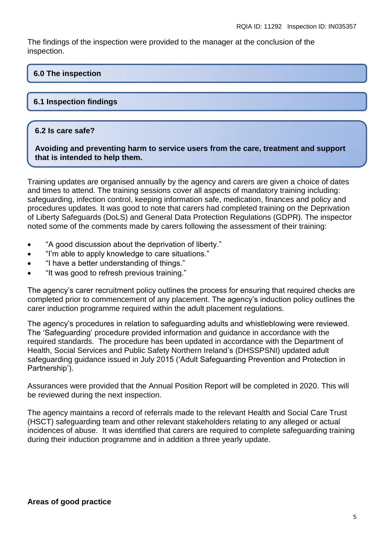The findings of the inspection were provided to the manager at the conclusion of the inspection.

# **6.0 The inspection**

# **6.1 Inspection findings**

## **6.2 Is care safe?**

**Avoiding and preventing harm to service users from the care, treatment and support that is intended to help them.**

Training updates are organised annually by the agency and carers are given a choice of dates and times to attend. The training sessions cover all aspects of mandatory training including: safeguarding, infection control, keeping information safe, medication, finances and policy and procedures updates. It was good to note that carers had completed training on the Deprivation of Liberty Safeguards (DoLS) and General Data Protection Regulations (GDPR). The inspector noted some of the comments made by carers following the assessment of their training:

- "A good discussion about the deprivation of liberty."
- "I'm able to apply knowledge to care situations."
- "I have a better understanding of things."
- "It was good to refresh previous training."

The agency's carer recruitment policy outlines the process for ensuring that required checks are completed prior to commencement of any placement. The agency's induction policy outlines the carer induction programme required within the adult placement regulations.

The agency's procedures in relation to safeguarding adults and whistleblowing were reviewed. The 'Safeguarding' procedure provided information and guidance in accordance with the required standards. The procedure has been updated in accordance with the Department of Health, Social Services and Public Safety Northern Ireland's (DHSSPSNI) updated adult safeguarding guidance issued in July 2015 ('Adult Safeguarding Prevention and Protection in Partnership').

Assurances were provided that the Annual Position Report will be completed in 2020. This will be reviewed during the next inspection.

The agency maintains a record of referrals made to the relevant Health and Social Care Trust (HSCT) safeguarding team and other relevant stakeholders relating to any alleged or actual incidences of abuse. It was identified that carers are required to complete safeguarding training during their induction programme and in addition a three yearly update.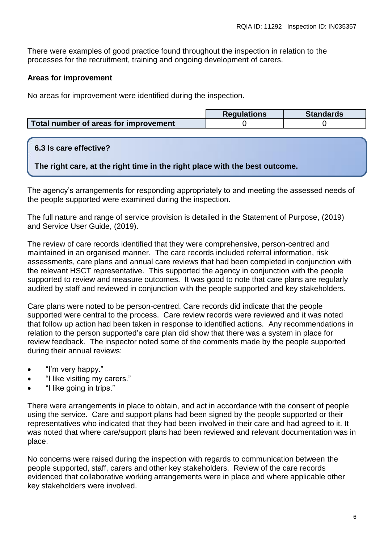There were examples of good practice found throughout the inspection in relation to the processes for the recruitment, training and ongoing development of carers.

# **Areas for improvement**

No areas for improvement were identified during the inspection.

|                                       | <b>Requlations</b> | <b>Standards</b> |
|---------------------------------------|--------------------|------------------|
| Total number of areas for improvement |                    |                  |

# **6.3 Is care effective?**

**The right care, at the right time in the right place with the best outcome.**

The agency's arrangements for responding appropriately to and meeting the assessed needs of the people supported were examined during the inspection.

The full nature and range of service provision is detailed in the Statement of Purpose, (2019) and Service User Guide, (2019).

The review of care records identified that they were comprehensive, person-centred and maintained in an organised manner. The care records included referral information, risk assessments, care plans and annual care reviews that had been completed in conjunction with the relevant HSCT representative. This supported the agency in conjunction with the people supported to review and measure outcomes. It was good to note that care plans are regularly audited by staff and reviewed in conjunction with the people supported and key stakeholders.

Care plans were noted to be person-centred. Care records did indicate that the people supported were central to the process. Care review records were reviewed and it was noted that follow up action had been taken in response to identified actions. Any recommendations in relation to the person supported's care plan did show that there was a system in place for review feedback. The inspector noted some of the comments made by the people supported during their annual reviews:

- "I'm very happy."
- "I like visiting my carers."
- "I like going in trips."

There were arrangements in place to obtain, and act in accordance with the consent of people using the service. Care and support plans had been signed by the people supported or their representatives who indicated that they had been involved in their care and had agreed to it. It was noted that where care/support plans had been reviewed and relevant documentation was in place.

No concerns were raised during the inspection with regards to communication between the people supported, staff, carers and other key stakeholders. Review of the care records evidenced that collaborative working arrangements were in place and where applicable other key stakeholders were involved.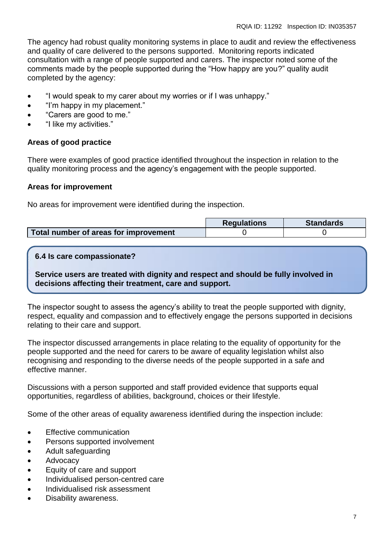The agency had robust quality monitoring systems in place to audit and review the effectiveness and quality of care delivered to the persons supported. Monitoring reports indicated consultation with a range of people supported and carers. The inspector noted some of the comments made by the people supported during the "How happy are you?" quality audit completed by the agency:

- "I would speak to my carer about my worries or if I was unhappy."
- "I'm happy in my placement."
- "Carers are good to me."
- "I like my activities."

## **Areas of good practice**

There were examples of good practice identified throughout the inspection in relation to the quality monitoring process and the agency's engagement with the people supported.

## **Areas for improvement**

No areas for improvement were identified during the inspection.

|                                       | <b>Requlations</b> | <b>Standards</b> |
|---------------------------------------|--------------------|------------------|
| Total number of areas for improvement |                    |                  |

## **6.4 Is care compassionate?**

**Service users are treated with dignity and respect and should be fully involved in decisions affecting their treatment, care and support.**

The inspector sought to assess the agency's ability to treat the people supported with dignity, respect, equality and compassion and to effectively engage the persons supported in decisions relating to their care and support.

The inspector discussed arrangements in place relating to the equality of opportunity for the people supported and the need for carers to be aware of equality legislation whilst also recognising and responding to the diverse needs of the people supported in a safe and effective manner.

Discussions with a person supported and staff provided evidence that supports equal opportunities, regardless of abilities, background, choices or their lifestyle.

Some of the other areas of equality awareness identified during the inspection include:

- Effective communication
- Persons supported involvement
- Adult safeguarding
- Advocacy
- Equity of care and support
- Individualised person-centred care
- Individualised risk assessment
- Disability awareness.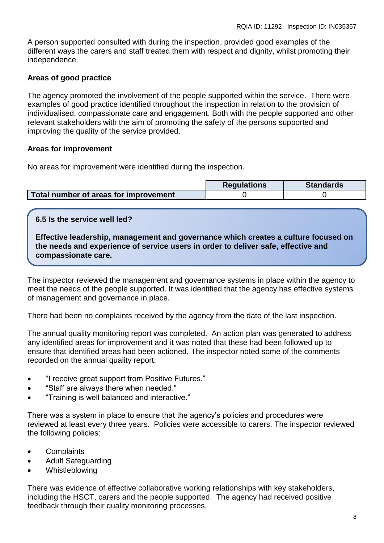A person supported consulted with during the inspection, provided good examples of the different ways the carers and staff treated them with respect and dignity, whilst promoting their independence.

# **Areas of good practice**

The agency promoted the involvement of the people supported within the service. There were examples of good practice identified throughout the inspection in relation to the provision of individualised, compassionate care and engagement. Both with the people supported and other relevant stakeholders with the aim of promoting the safety of the persons supported and improving the quality of the service provided.

## **Areas for improvement**

No areas for improvement were identified during the inspection.

|                                       | <b>Requlations</b> | <b>Standards</b> |
|---------------------------------------|--------------------|------------------|
| Total number of areas for improvement |                    |                  |

## **6.5 Is the service well led?**

**Effective leadership, management and governance which creates a culture focused on the needs and experience of service users in order to deliver safe, effective and compassionate care.**

The inspector reviewed the management and governance systems in place within the agency to meet the needs of the people supported. It was identified that the agency has effective systems of management and governance in place.

There had been no complaints received by the agency from the date of the last inspection.

The annual quality monitoring report was completed. An action plan was generated to address any identified areas for improvement and it was noted that these had been followed up to ensure that identified areas had been actioned. The inspector noted some of the comments recorded on the annual quality report:

- "I receive great support from Positive Futures."
- "Staff are always there when needed."
- "Training is well balanced and interactive."

There was a system in place to ensure that the agency's policies and procedures were reviewed at least every three years. Policies were accessible to carers. The inspector reviewed the following policies:

- Complaints
- Adult Safeguarding
- Whistleblowing

There was evidence of effective collaborative working relationships with key stakeholders, including the HSCT, carers and the people supported. The agency had received positive feedback through their quality monitoring processes.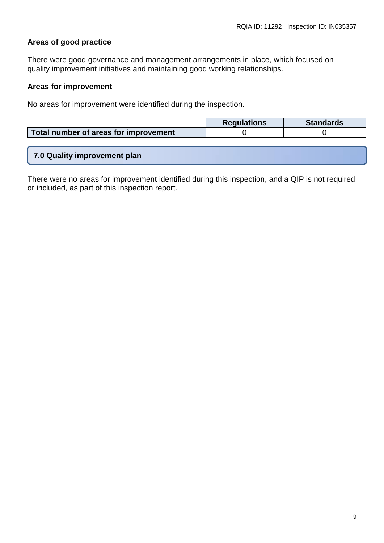# **Areas of good practice**

There were good governance and management arrangements in place, which focused on quality improvement initiatives and maintaining good working relationships.

## **Areas for improvement**

No areas for improvement were identified during the inspection.

|                                       | <b>Requlations</b> | <b>Standards</b> |
|---------------------------------------|--------------------|------------------|
| Total number of areas for improvement |                    |                  |
|                                       |                    |                  |

|  |  |  |  | 7.0 Quality improvement plan |
|--|--|--|--|------------------------------|
|  |  |  |  |                              |

There were no areas for improvement identified during this inspection, and a QIP is not required or included, as part of this inspection report.